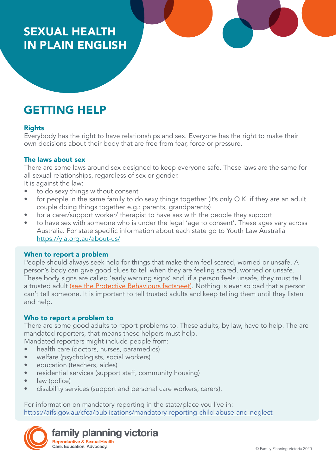# SEXUAL HEALTH IN PLAIN ENGLISH

# GETTING HELP

## Rights

Everybody has the right to have relationships and sex. Everyone has the right to make their own decisions about their body that are free from fear, force or pressure.

# The laws about sex

There are some laws around sex designed to keep everyone safe. These laws are the same for all sexual relationships, regardless of sex or gender.

It is against the law:

- to do sexy things without consent
- for people in the same family to do sexy things together (it's only O.K. if they are an adult couple doing things together e.g.: parents, grandparents)
- for a carer/support worker/ therapist to have sex with the people they support
- to have sex with someone who is under the legal 'age to consent'. These ages vary across Australia. For state specific information about each state go to Youth Law Australia <https://yla.org.au/about-us/>

#### When to report a problem

People should always seek help for things that make them feel scared, worried or unsafe. A person's body can give good clues to tell when they are feeling scared, worried or unsafe. These body signs are called 'early warning signs' and, if a person feels unsafe, they must tell a trusted adult [\(see the Protective Behaviours factsheet\)](https://www.fpv.org.au/assets/resources/FPV_PlainEnglishResources_FA_ProtectiveBehaviours.pdf). Nothing is ever so bad that a person can't tell someone. It is important to tell trusted adults and keep telling them until they listen and help.

## Who to report a problem to

There are some good adults to report problems to. These adults, by law, have to help. The are mandated reporters, that means these helpers must help. Mandated reporters might include people from:

• health care (doctors, nurses, paramedics)

- welfare (psychologists, social workers)
- education (teachers, aides)
- residential services (support staff, community housing)
- law (police)
- disability services (support and personal care workers, carers).

For information on mandatory reporting in the state/place you live in: [https://aifs.gov.au/cfca/publications/mandatory-reporting-child-abuse-and-neglect]( https://aifs.gov.au/cfca/publications/mandatory-reporting-child-abuse-and-neglect )

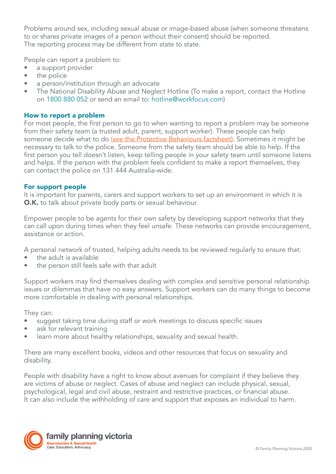Problems around sex, including sexual abuse or image-based abuse (when someone threatens to or shares private images of a person without their consent) should be reported. The reporting process may be different from state to state.

People can report a problem to:

- a support provider
- the police
- a person/institution through an advocate
- The National Disability Abuse and Neglect Hotline (To make a report, contact the Hotline on 1800 880 052 or send an email to: hotline@workfocus.com)

### How to report a problem

For most people, the first person to go to when wanting to report a problem may be someone from their safety team (a trusted adult, parent, support worker). These people can help someone decide what to do [\(see the Protective Behaviours factsheet\).](https://www.fpv.org.au/assets/resources/FPV_PlainEnglishResources_FA_ProtectiveBehaviours.pdf) Sometimes it might be necessary to talk to the police. Someone from the safety team should be able to help. If the first person you tell doesn't listen, keep telling people in your safety team until someone listens and helps. If the person with the problem feels confident to make a report themselves, they can contact the police on 131 444 Australia-wide.

#### For support people

It is important for parents, carers and support workers to set up an environment in which it is O.K. to talk about private body parts or sexual behaviour.

Empower people to be agents for their own safety by developing support networks that they can call upon during times when they feel unsafe. These networks can provide encouragement, assistance or action.

A personal network of trusted, helping adults needs to be reviewed regularly to ensure that:

- the adult is available
- the person still feels safe with that adult

Support workers may find themselves dealing with complex and sensitive personal relationship issues or dilemmas that have no easy answers. Support workers can do many things to become more comfortable in dealing with personal relationships.

They can:

- suggest taking time during staff or work meetings to discuss specific issues
- ask for relevant training
- learn more about healthy relationships, sexuality and sexual health.

There are many excellent books, videos and other resources that focus on sexuality and disability.

People with disability have a right to know about avenues for complaint if they believe they are victims of abuse or neglect. Cases of abuse and neglect can include physical, sexual, psychological, legal and civil abuse, restraint and restrictive practices, or financial abuse. It can also include the withholding of care and support that exposes an individual to harm.